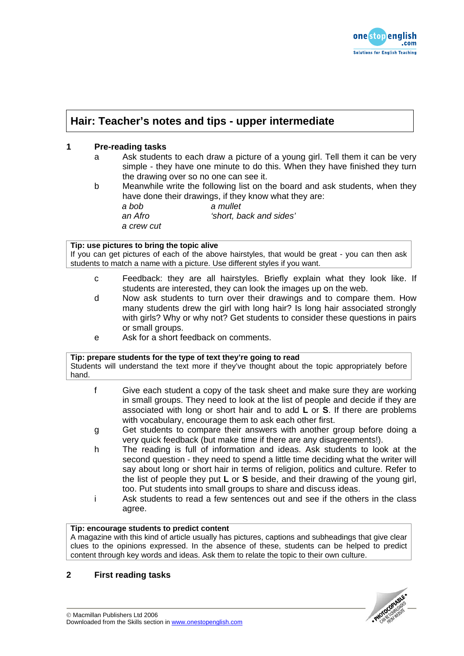

# **Hair: Teacher's notes and tips - upper intermediate**

# **1 Pre-reading tasks**

- a Ask students to each draw a picture of a young girl. Tell them it can be very simple - they have one minute to do this. When they have finished they turn the drawing over so no one can see it.
- b Meanwhile write the following list on the board and ask students, when they have done their drawings, if they know what they are: *a bob a mullet an Afro 'short, back and sides' a crew cut*

### **Tip: use pictures to bring the topic alive**

If you can get pictures of each of the above hairstyles, that would be great - you can then ask students to match a name with a picture. Use different styles if you want.

- c Feedback: they are all hairstyles. Briefly explain what they look like. If students are interested, they can look the images up on the web.
- d Now ask students to turn over their drawings and to compare them. How many students drew the girl with long hair? Is long hair associated strongly with girls? Why or why not? Get students to consider these questions in pairs or small groups.
- e Ask for a short feedback on comments.

#### **Tip: prepare students for the type of text they're going to read**

Students will understand the text more if they've thought about the topic appropriately before hand.

- f Give each student a copy of the task sheet and make sure they are working in small groups. They need to look at the list of people and decide if they are associated with long or short hair and to add **L** or **S**. If there are problems with vocabulary, encourage them to ask each other first.
- g Get students to compare their answers with another group before doing a very quick feedback (but make time if there are any disagreements!).
- h The reading is full of information and ideas. Ask students to look at the second question - they need to spend a little time deciding what the writer will say about long or short hair in terms of religion, politics and culture. Refer to the list of people they put **L** or **S** beside, and their drawing of the young girl, too. Put students into small groups to share and discuss ideas.
- i Ask students to read a few sentences out and see if the others in the class agree.

## **Tip: encourage students to predict content**

A magazine with this kind of article usually has pictures, captions and subheadings that give clear clues to the opinions expressed. In the absence of these, students can be helped to predict content through key words and ideas. Ask them to relate the topic to their own culture.

## **2 First reading tasks**